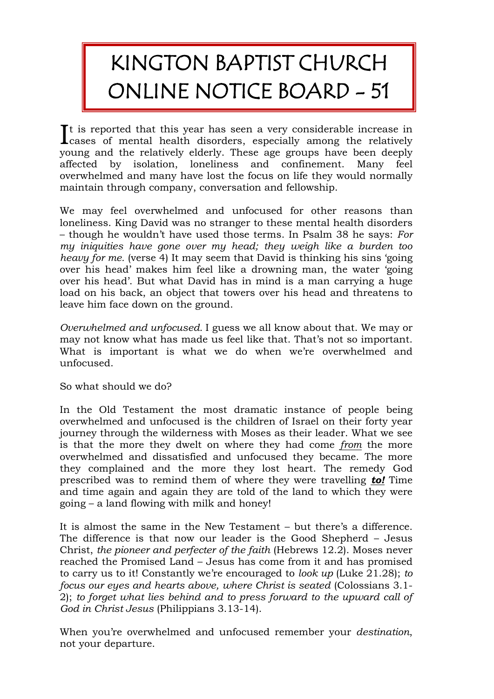## KINGTON BAPTIST CHURCH ONLINE NOTICE BOARD - 51

t is reported that this year has seen a very considerable increase in  $\int$  is reported that this year has seen a very considerable increase in cases of mental health disorders, especially among the relatively young and the relatively elderly. These age groups have been deeply affected by isolation, loneliness and confinement. Many feel overwhelmed and many have lost the focus on life they would normally maintain through company, conversation and fellowship.

We may feel overwhelmed and unfocused for other reasons than loneliness. King David was no stranger to these mental health disorders – though he wouldn't have used those terms. In Psalm 38 he says: *For my iniquities have gone over my head; they weigh like a burden too heavy for me.* (verse 4) It may seem that David is thinking his sins 'going over his head' makes him feel like a drowning man, the water 'going over his head'. But what David has in mind is a man carrying a huge load on his back, an object that towers over his head and threatens to leave him face down on the ground.

*Overwhelmed and unfocused.* I guess we all know about that. We may or may not know what has made us feel like that. That's not so important. What is important is what we do when we're overwhelmed and unfocused.

So what should we do?

In the Old Testament the most dramatic instance of people being overwhelmed and unfocused is the children of Israel on their forty year journey through the wilderness with Moses as their leader. What we see is that the more they dwelt on where they had come *from* the more overwhelmed and dissatisfied and unfocused they became. The more they complained and the more they lost heart. The remedy God prescribed was to remind them of where they were travelling *to!* Time and time again and again they are told of the land to which they were going – a land flowing with milk and honey!

It is almost the same in the New Testament – but there's a difference. The difference is that now our leader is the Good Shepherd – Jesus Christ, *the pioneer and perfecter of the faith* (Hebrews 12.2). Moses never reached the Promised Land – Jesus has come from it and has promised to carry us to it! Constantly we're encouraged to *look up* (Luke 21.28); *to focus our eyes and hearts above, where Christ is seated* (Colossians 3.1- 2); *to forget what lies behind and to press forward to the upward call of God in Christ Jesus* (Philippians 3.13-14).

When you're overwhelmed and unfocused remember your *destination*, not your departure.